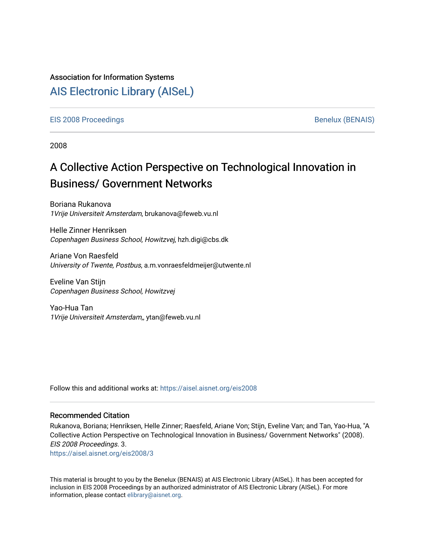### Association for Information Systems

## [AIS Electronic Library \(AISeL\)](https://aisel.aisnet.org/)

[EIS 2008 Proceedings](https://aisel.aisnet.org/eis2008) and the set of the set of the set of the set of the Benelux (BENAIS)

2008

# A Collective Action Perspective on Technological Innovation in Business/ Government Networks

Boriana Rukanova 1Vrije Universiteit Amsterdam, brukanova@feweb.vu.nl

Helle Zinner Henriksen Copenhagen Business School, Howitzvej, hzh.digi@cbs.dk

Ariane Von Raesfeld University of Twente, Postbus, a.m.vonraesfeldmeijer@utwente.nl

Eveline Van Stijn Copenhagen Business School, Howitzvej

Yao-Hua Tan 1Vrije Universiteit Amsterdam,, ytan@feweb.vu.nl

Follow this and additional works at: [https://aisel.aisnet.org/eis2008](https://aisel.aisnet.org/eis2008?utm_source=aisel.aisnet.org%2Feis2008%2F3&utm_medium=PDF&utm_campaign=PDFCoverPages)

#### Recommended Citation

Rukanova, Boriana; Henriksen, Helle Zinner; Raesfeld, Ariane Von; Stijn, Eveline Van; and Tan, Yao-Hua, "A Collective Action Perspective on Technological Innovation in Business/ Government Networks" (2008). EIS 2008 Proceedings. 3.

[https://aisel.aisnet.org/eis2008/3](https://aisel.aisnet.org/eis2008/3?utm_source=aisel.aisnet.org%2Feis2008%2F3&utm_medium=PDF&utm_campaign=PDFCoverPages)

This material is brought to you by the Benelux (BENAIS) at AIS Electronic Library (AISeL). It has been accepted for inclusion in EIS 2008 Proceedings by an authorized administrator of AIS Electronic Library (AISeL). For more information, please contact [elibrary@aisnet.org.](mailto:elibrary@aisnet.org%3E)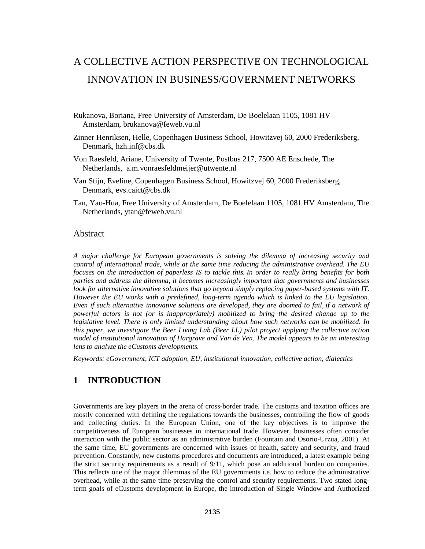## A COLLECTIVE ACTION PERSPECTIVE ON TECHNOLOGICAL INNOVATION IN BUSINESS/GOVERNMENT NETWORKS

- Rukanova, Boriana, Free University of Amsterdam, De Boelelaan 1105, 1081 HV Amsterdam, brukanova@feweb.vu.nl
- Zinner Henriksen, Helle, Copenhagen Business School, Howitzvej 60, 2000 Frederiksberg, Denmark, hzh.inf@cbs.dk
- Von Raesfeld, Ariane, University of Twente, Postbus 217, 7500 AE Enschede, The Netherlands, a.m.vonraesfeldmeijer@utwente.nl
- Van Stijn, Eveline, Copenhagen Business School, Howitzvej 60, 2000 Frederiksberg, Denmark, evs.caict@cbs.dk
- Tan, Yao-Hua, Free University of Amsterdam, De Boelelaan 1105, 1081 HV Amsterdam, The Netherlands, ytan@feweb.vu.nl

#### Abstract

*A major challenge for European governments is solving the dilemma of increasing security and control of international trade, while at the same time reducing the administrative overhead. The EU focuses on the introduction of paperless IS to tackle this. In order to really bring benefits for both parties and address the dilemma, it becomes increasingly important that governments and businesses look for alternative innovative solutions that go beyond simply replacing paper-based systems with IT. However the EU works with a predefined, long-term agenda which is linked to the EU legislation. Even if such alternative innovative solutions are developed, they are doomed to fail, if a network of powerful actors is not (or is inappropriately) mobilized to bring the desired change up to the legislative level. There is only limited understanding about how such networks can be mobilized. In this paper, we investigate the Beer Living Lab (Beer LL) pilot project applying the collective action model of institutional innovation of Hargrave and Van de Ven. The model appears to be an interesting lens to analyze the eCustoms developments.* 

*Keywords: eGovernment, ICT adoption, EU, institutional innovation, collective action, dialectics* 

## **1 INTRODUCTION**

Governments are key players in the arena of cross-border trade. The customs and taxation offices are mostly concerned with defining the regulations towards the businesses, controlling the flow of goods and collecting duties. In the European Union, one of the key objectives is to improve the competitiveness of European businesses in international trade. However, businesses often consider interaction with the public sector as an administrative burden (Fountain and Osorio-Urzua, 2001). At the same time, EU governments are concerned with issues of health, safety and security, and fraud prevention. Constantly, new customs procedures and documents are introduced, a latest example being the strict security requirements as a result of 9/11, which pose an additional burden on companies. This reflects one of the major dilemmas of the EU governments i.e. how to reduce the administrative overhead, while at the same time preserving the control and security requirements. Two stated longterm goals of eCustoms development in Europe, the introduction of Single Window and Authorized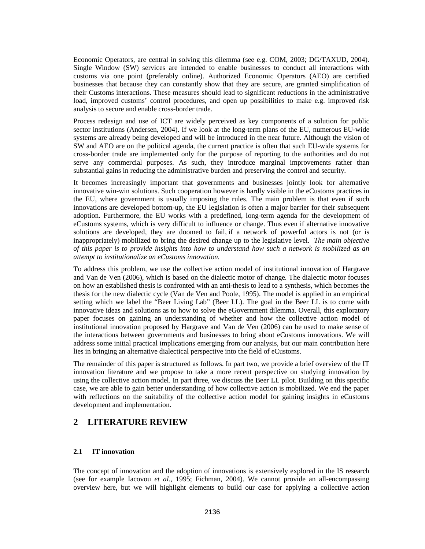Economic Operators, are central in solving this dilemma (see e.g. COM, 2003; DG/TAXUD, 2004). Single Window (SW) services are intended to enable businesses to conduct all interactions with customs via one point (preferably online). Authorized Economic Operators (AEO) are certified businesses that because they can constantly show that they are secure, are granted simplification of their Customs interactions. These measures should lead to significant reductions in the administrative load, improved customs' control procedures, and open up possibilities to make e.g. improved risk analysis to secure and enable cross-border trade.

Process redesign and use of ICT are widely perceived as key components of a solution for public sector institutions (Andersen, 2004). If we look at the long-term plans of the EU, numerous EU-wide systems are already being developed and will be introduced in the near future. Although the vision of SW and AEO are on the political agenda, the current practice is often that such EU-wide systems for cross-border trade are implemented only for the purpose of reporting to the authorities and do not serve any commercial purposes. As such, they introduce marginal improvements rather than substantial gains in reducing the administrative burden and preserving the control and security.

It becomes increasingly important that governments and businesses jointly look for alternative innovative win-win solutions. Such cooperation however is hardly visible in the eCustoms practices in the EU, where government is usually imposing the rules. The main problem is that even if such innovations are developed bottom-up, the EU legislation is often a major barrier for their subsequent adoption. Furthermore, the EU works with a predefined, long-term agenda for the development of eCustoms systems, which is very difficult to influence or change. Thus even if alternative innovative solutions are developed, they are doomed to fail, if a network of powerful actors is not (or is inappropriately) mobilized to bring the desired change up to the legislative level. *The main objective of this paper is to provide insights into how to understand how such a network is mobilized as an attempt to institutionalize an eCustoms innovation.*

To address this problem, we use the collective action model of institutional innovation of Hargrave and Van de Ven (2006), which is based on the dialectic motor of change. The dialectic motor focuses on how an established thesis is confronted with an anti-thesis to lead to a synthesis, which becomes the thesis for the new dialectic cycle (Van de Ven and Poole, 1995). The model is applied in an empirical setting which we label the "Beer Living Lab" (Beer LL). The goal in the Beer LL is to come with innovative ideas and solutions as to how to solve the eGovernment dilemma. Overall, this exploratory paper focuses on gaining an understanding of whether and how the collective action model of institutional innovation proposed by Hargrave and Van de Ven (2006) can be used to make sense of the interactions between governments and businesses to bring about eCustoms innovations. We will address some initial practical implications emerging from our analysis, but our main contribution here lies in bringing an alternative dialectical perspective into the field of eCustoms.

The remainder of this paper is structured as follows. In part two, we provide a brief overview of the IT innovation literature and we propose to take a more recent perspective on studying innovation by using the collective action model. In part three, we discuss the Beer LL pilot. Building on this specific case, we are able to gain better understanding of how collective action is mobilized. We end the paper with reflections on the suitability of the collective action model for gaining insights in eCustoms development and implementation.

## **2 LITERATURE REVIEW**

#### **2.1 IT innovation**

The concept of innovation and the adoption of innovations is extensively explored in the IS research (see for example Iacovou *et al.*, 1995; Fichman, 2004). We cannot provide an all-encompassing overview here, but we will highlight elements to build our case for applying a collective action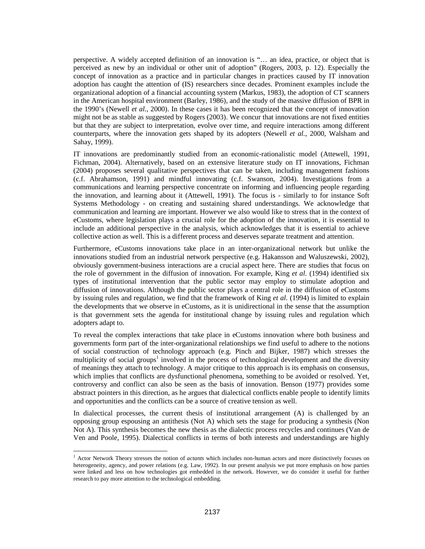perspective. A widely accepted definition of an innovation is "… an idea, practice, or object that is perceived as new by an individual or other unit of adoption" (Rogers, 2003, p. 12). Especially the concept of innovation as a practice and in particular changes in practices caused by IT innovation adoption has caught the attention of (IS) researchers since decades. Prominent examples include the organizational adoption of a financial accounting system (Markus, 1983), the adoption of CT scanners in the American hospital environment (Barley, 1986), and the study of the massive diffusion of BPR in the 1990's (Newell *et al.*, 2000). In these cases it has been recognized that the concept of innovation might not be as stable as suggested by Rogers (2003). We concur that innovations are not fixed entities but that they are subject to interpretation, evolve over time, and require interactions among different counterparts, where the innovation gets shaped by its adopters (Newell *et al.*, 2000, Walsham and Sahay, 1999).

IT innovations are predominantly studied from an economic-rationalistic model (Attewell, 1991, Fichman, 2004). Alternatively, based on an extensive literature study on IT innovations, Fichman (2004) proposes several qualitative perspectives that can be taken, including management fashions (c.f. Abrahamson, 1991) and mindful innovating (c.f. Swanson, 2004). Investigations from a communications and learning perspective concentrate on informing and influencing people regarding the innovation, and learning about it (Attewell, 1991). The focus is - similarly to for instance Soft Systems Methodology - on creating and sustaining shared understandings. We acknowledge that communication and learning are important. However we also would like to stress that in the context of eCustoms, where legislation plays a crucial role for the adoption of the innovation, it is essential to include an additional perspective in the analysis, which acknowledges that it is essential to achieve collective action as well. This is a different process and deserves separate treatment and attention.

Furthermore, eCustoms innovations take place in an inter-organizational network but unlike the innovations studied from an industrial network perspective (e.g. Hakansson and Waluszewski, 2002), obviously government-business interactions are a crucial aspect here. There are studies that focus on the role of government in the diffusion of innovation. For example, King *et al.* (1994) identified six types of institutional intervention that the public sector may employ to stimulate adoption and diffusion of innovations. Although the public sector plays a central role in the diffusion of eCustoms by issuing rules and regulation, we find that the framework of King *et al.* (1994) is limited to explain the developments that we observe in eCustoms, as it is unidirectional in the sense that the assumption is that government sets the agenda for institutional change by issuing rules and regulation which adopters adapt to.

To reveal the complex interactions that take place in eCustoms innovation where both business and governments form part of the inter-organizational relationships we find useful to adhere to the notions of social construction of technology approach (e.g. Pinch and Bijker, 1987) which stresses the multiplicity of social groups<sup>1</sup> involved in the process of technological development and the diversity of meanings they attach to technology. A major critique to this approach is its emphasis on consensus, which implies that conflicts are dysfunctional phenomena, something to be avoided or resolved. Yet, controversy and conflict can also be seen as the basis of innovation. Benson (1977) provides some abstract pointers in this direction, as he argues that dialectical conflicts enable people to identify limits and opportunities and the conflicts can be a source of creative tension as well.

In dialectical processes, the current thesis of institutional arrangement (A) is challenged by an opposing group espousing an antithesis (Not A) which sets the stage for producing a synthesis (Non Not A). This synthesis becomes the new thesis as the dialectic process recycles and continues (Van de Ven and Poole, 1995). Dialectical conflicts in terms of both interests and understandings are highly

 $\overline{a}$ 

<sup>&</sup>lt;sup>1</sup> Actor Network Theory stresses the notion of *actants* which includes non-human actors and more distinctively focuses on heterogeneity, agency, and power relations (e.g. Law, 1992). In our present analysis we put more emphasis on how parties were linked and less on how technologies got embedded in the network. However, we do consider it useful for further research to pay more attention to the technological embedding.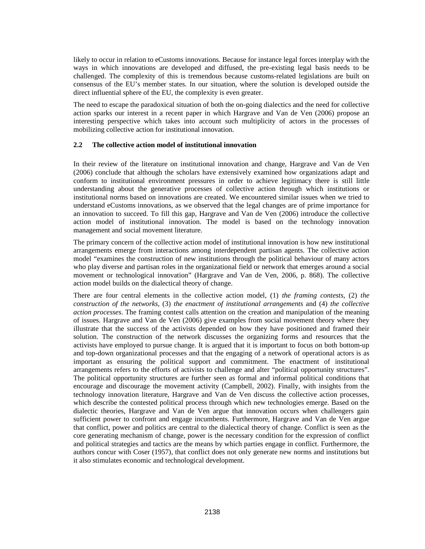likely to occur in relation to eCustoms innovations. Because for instance legal forces interplay with the ways in which innovations are developed and diffused, the pre-existing legal basis needs to be challenged. The complexity of this is tremendous because customs-related legislations are built on consensus of the EU's member states. In our situation, where the solution is developed outside the direct influential sphere of the EU, the complexity is even greater.

The need to escape the paradoxical situation of both the on-going dialectics and the need for collective action sparks our interest in a recent paper in which Hargrave and Van de Ven (2006) propose an interesting perspective which takes into account such multiplicity of actors in the processes of mobilizing collective action for institutional innovation.

#### **2.2 The collective action model of institutional innovation**

In their review of the literature on institutional innovation and change, Hargrave and Van de Ven (2006) conclude that although the scholars have extensively examined how organizations adapt and conform to institutional environment pressures in order to achieve legitimacy there is still little understanding about the generative processes of collective action through which institutions or institutional norms based on innovations are created. We encountered similar issues when we tried to understand eCustoms innovations, as we observed that the legal changes are of prime importance for an innovation to succeed. To fill this gap, Hargrave and Van de Ven (2006) introduce the collective action model of institutional innovation. The model is based on the technology innovation management and social movement literature.

The primary concern of the collective action model of institutional innovation is how new institutional arrangements emerge from interactions among interdependent partisan agents. The collective action model "examines the construction of new institutions through the political behaviour of many actors who play diverse and partisan roles in the organizational field or network that emerges around a social movement or technological innovation" (Hargrave and Van de Ven, 2006, p. 868). The collective action model builds on the dialectical theory of change.

There are four central elements in the collective action model, (1) *the framing contests*, (2) *the construction of the networks*, (3) *the enactment of institutional arrangements* and (4) *the collective action processes*. The framing contest calls attention on the creation and manipulation of the meaning of issues. Hargrave and Van de Ven (2006) give examples from social movement theory where they illustrate that the success of the activists depended on how they have positioned and framed their solution. The construction of the network discusses the organizing forms and resources that the activists have employed to pursue change. It is argued that it is important to focus on both bottom-up and top-down organizational processes and that the engaging of a network of operational actors is as important as ensuring the political support and commitment. The enactment of institutional arrangements refers to the efforts of activists to challenge and alter "political opportunity structures". The political opportunity structures are further seen as formal and informal political conditions that encourage and discourage the movement activity (Campbell, 2002). Finally, with insights from the technology innovation literature, Hargrave and Van de Ven discuss the collective action processes, which describe the contested political process through which new technologies emerge. Based on the dialectic theories, Hargrave and Van de Ven argue that innovation occurs when challengers gain sufficient power to confront and engage incumbents. Furthermore, Hargrave and Van de Ven argue that conflict, power and politics are central to the dialectical theory of change. Conflict is seen as the core generating mechanism of change, power is the necessary condition for the expression of conflict and political strategies and tactics are the means by which parties engage in conflict. Furthermore, the authors concur with Coser (1957), that conflict does not only generate new norms and institutions but it also stimulates economic and technological development.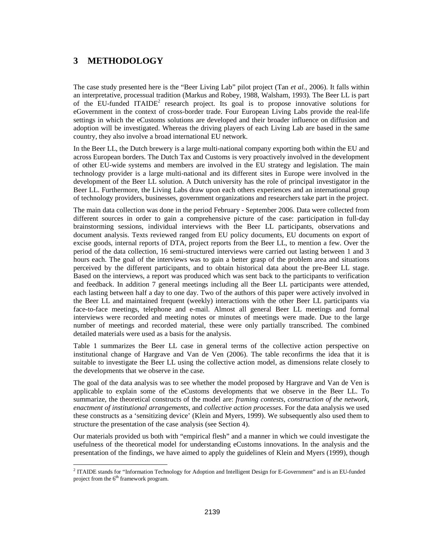## **3 METHODOLOGY**

 $\overline{a}$ 

The case study presented here is the "Beer Living Lab" pilot project (Tan *et al.*, 2006). It falls within an interpretative, processual tradition (Markus and Robey, 1988, Walsham, 1993). The Beer LL is part of the EU-funded ITAIDE<sup>2</sup> research project. Its goal is to propose innovative solutions for eGovernment in the context of cross-border trade. Four European Living Labs provide the real-life settings in which the eCustoms solutions are developed and their broader influence on diffusion and adoption will be investigated. Whereas the driving players of each Living Lab are based in the same country, they also involve a broad international EU network.

In the Beer LL, the Dutch brewery is a large multi-national company exporting both within the EU and across European borders. The Dutch Tax and Customs is very proactively involved in the development of other EU-wide systems and members are involved in the EU strategy and legislation. The main technology provider is a large multi-national and its different sites in Europe were involved in the development of the Beer LL solution. A Dutch university has the role of principal investigator in the Beer LL. Furthermore, the Living Labs draw upon each others experiences and an international group of technology providers, businesses, government organizations and researchers take part in the project.

The main data collection was done in the period February - September 2006. Data were collected from different sources in order to gain a comprehensive picture of the case: participation in full-day brainstorming sessions, individual interviews with the Beer LL participants, observations and document analysis. Texts reviewed ranged from EU policy documents, EU documents on export of excise goods, internal reports of DTA, project reports from the Beer LL, to mention a few. Over the period of the data collection, 16 semi-structured interviews were carried out lasting between 1 and 3 hours each. The goal of the interviews was to gain a better grasp of the problem area and situations perceived by the different participants, and to obtain historical data about the pre-Beer LL stage. Based on the interviews, a report was produced which was sent back to the participants to verification and feedback. In addition 7 general meetings including all the Beer LL participants were attended, each lasting between half a day to one day. Two of the authors of this paper were actively involved in the Beer LL and maintained frequent (weekly) interactions with the other Beer LL participants via face-to-face meetings, telephone and e-mail. Almost all general Beer LL meetings and formal interviews were recorded and meeting notes or minutes of meetings were made. Due to the large number of meetings and recorded material, these were only partially transcribed. The combined detailed materials were used as a basis for the analysis.

Table 1 summarizes the Beer LL case in general terms of the collective action perspective on institutional change of Hargrave and Van de Ven (2006). The table reconfirms the idea that it is suitable to investigate the Beer LL using the collective action model, as dimensions relate closely to the developments that we observe in the case.

The goal of the data analysis was to see whether the model proposed by Hargrave and Van de Ven is applicable to explain some of the eCustoms developments that we observe in the Beer LL. To summarize, the theoretical constructs of the model are: *framing contests*, *construction of the network*, *enactment of institutional arrangements*, and *collective action processes*. For the data analysis we used these constructs as a 'sensitizing device' (Klein and Myers, 1999). We subsequently also used them to structure the presentation of the case analysis (see Section 4).

Our materials provided us both with "empirical flesh" and a manner in which we could investigate the usefulness of the theoretical model for understanding eCustoms innovations. In the analysis and the presentation of the findings, we have aimed to apply the guidelines of Klein and Myers (1999), though

<sup>&</sup>lt;sup>2</sup> ITAIDE stands for "Information Technology for Adoption and Intelligent Design for E-Government" and is an EU-funded project from the 6<sup>th</sup> framework program.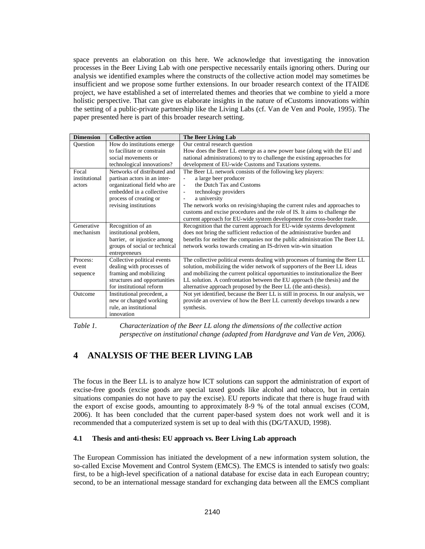space prevents an elaboration on this here. We acknowledge that investigating the innovation processes in the Beer Living Lab with one perspective necessarily entails ignoring others. During our analysis we identified examples where the constructs of the collective action model may sometimes be insufficient and we propose some further extensions. In our broader research context of the ITAIDE project, we have established a set of interrelated themes and theories that we combine to yield a more holistic perspective. That can give us elaborate insights in the nature of eCustoms innovations within the setting of a public-private partnership like the Living Labs (cf. Van de Ven and Poole, 1995). The paper presented here is part of this broader research setting.

| <b>Dimension</b> | <b>Collective action</b>      | The Beer Living Lab                                                              |
|------------------|-------------------------------|----------------------------------------------------------------------------------|
| Ouestion         | How do institutions emerge    | Our central research question                                                    |
|                  | to facilitate or constrain    | How does the Beer LL emerge as a new power base (along with the EU and           |
|                  | social movements or           | national administrations) to try to challenge the existing approaches for        |
|                  | technological innovations?    | development of EU-wide Customs and Taxations systems.                            |
| Focal            | Networks of distributed and   | The Beer LL network consists of the following key players:                       |
| institutional    | partisan actors in an inter-  | a large beer producer                                                            |
| actors           | organizational field who are  | the Dutch Tax and Customs<br>$\sim$                                              |
|                  | embedded in a collective      | technology providers<br>÷,                                                       |
|                  | process of creating or        | a university                                                                     |
|                  | revising institutions         | The network works on revising/shaping the current rules and approaches to        |
|                  |                               | customs and excise procedures and the role of IS. It aims to challenge the       |
|                  |                               | current approach for EU-wide system development for cross-border trade.          |
| Generative       | Recognition of an             | Recognition that the current approach for EU-wide systems development            |
| mechanism        | institutional problem,        | does not bring the sufficient reduction of the administrative burden and         |
|                  | barrier, or injustice among   | benefits for neither the companies nor the public administration The Beer LL     |
|                  | groups of social or technical | network works towards creating an IS-driven win-win situation                    |
|                  | entrepreneurs                 |                                                                                  |
| Process:         | Collective political events   | The collective political events dealing with processes of framing the Beer LL    |
| event            | dealing with processes of     | solution, mobilizing the wider network of supporters of the Beer LL ideas        |
| sequence         | framing and mobilizing        | and mobilizing the current political opportunities to institutionalize the Beer  |
|                  | structures and opportunities  | LL solution. A confrontation between the EU approach (the thesis) and the        |
|                  | for institutional reform      | alternative approach proposed by the Beer LL (the anti-thesis).                  |
| Outcome          | Institutional precedent, a    | Not yet identified, because the Beer LL is still in process. In our analysis, we |
|                  | new or changed working        | provide an overview of how the Beer LL currently develops towards a new          |
|                  | rule, an institutional        | synthesis.                                                                       |
|                  | innovation                    |                                                                                  |

*Table 1. Characterization of the Beer LL along the dimensions of the collective action perspective on institutional change (adapted from Hardgrave and Van de Ven, 2006).* 

## **4 ANALYSIS OF THE BEER LIVING LAB**

The focus in the Beer LL is to analyze how ICT solutions can support the administration of export of excise-free goods (excise goods are special taxed goods like alcohol and tobacco, but in certain situations companies do not have to pay the excise). EU reports indicate that there is huge fraud with the export of excise goods, amounting to approximately 8-9 % of the total annual excises (COM, 2006). It has been concluded that the current paper-based system does not work well and it is recommended that a computerized system is set up to deal with this (DG/TAXUD, 1998).

#### **4.1 Thesis and anti-thesis: EU approach vs. Beer Living Lab approach**

The European Commission has initiated the development of a new information system solution, the so-called Excise Movement and Control System (EMCS). The EMCS is intended to satisfy two goals: first, to be a high-level specification of a national database for excise data in each European country; second, to be an international message standard for exchanging data between all the EMCS compliant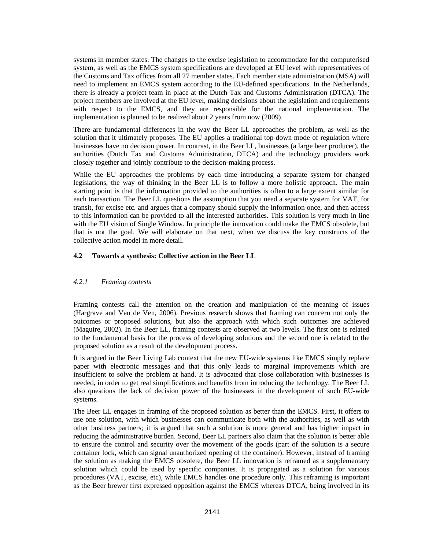systems in member states. The changes to the excise legislation to accommodate for the computerised system, as well as the EMCS system specifications are developed at EU level with representatives of the Customs and Tax offices from all 27 member states. Each member state administration (MSA) will need to implement an EMCS system according to the EU-defined specifications. In the Netherlands, there is already a project team in place at the Dutch Tax and Customs Administration (DTCA). The project members are involved at the EU level, making decisions about the legislation and requirements with respect to the EMCS, and they are responsible for the national implementation. The implementation is planned to be realized about 2 years from now (2009).

There are fundamental differences in the way the Beer LL approaches the problem, as well as the solution that it ultimately proposes. The EU applies a traditional top-down mode of regulation where businesses have no decision power. In contrast, in the Beer LL, businesses (a large beer producer), the authorities (Dutch Tax and Customs Administration, DTCA) and the technology providers work closely together and jointly contribute to the decision-making process.

While the EU approaches the problems by each time introducing a separate system for changed legislations, the way of thinking in the Beer LL is to follow a more holistic approach. The main starting point is that the information provided to the authorities is often to a large extent similar for each transaction. The Beer LL questions the assumption that you need a separate system for VAT, for transit, for excise etc. and argues that a company should supply the information once, and then access to this information can be provided to all the interested authorities. This solution is very much in line with the EU vision of Single Window. In principle the innovation could make the EMCS obsolete, but that is not the goal. We will elaborate on that next, when we discuss the key constructs of the collective action model in more detail.

#### **4.2 Towards a synthesis: Collective action in the Beer LL**

#### *4.2.1 Framing contests*

Framing contests call the attention on the creation and manipulation of the meaning of issues (Hargrave and Van de Ven, 2006). Previous research shows that framing can concern not only the outcomes or proposed solutions, but also the approach with which such outcomes are achieved (Maguire, 2002). In the Beer LL, framing contests are observed at two levels. The first one is related to the fundamental basis for the process of developing solutions and the second one is related to the proposed solution as a result of the development process.

It is argued in the Beer Living Lab context that the new EU-wide systems like EMCS simply replace paper with electronic messages and that this only leads to marginal improvements which are insufficient to solve the problem at hand. It is advocated that close collaboration with businesses is needed, in order to get real simplifications and benefits from introducing the technology. The Beer LL also questions the lack of decision power of the businesses in the development of such EU-wide systems.

The Beer LL engages in framing of the proposed solution as better than the EMCS. First, it offers to use one solution, with which businesses can communicate both with the authorities, as well as with other business partners; it is argued that such a solution is more general and has higher impact in reducing the administrative burden. Second, Beer LL partners also claim that the solution is better able to ensure the control and security over the movement of the goods (part of the solution is a secure container lock, which can signal unauthorized opening of the container). However, instead of framing the solution as making the EMCS obsolete, the Beer LL innovation is reframed as a supplementary solution which could be used by specific companies. It is propagated as a solution for various procedures (VAT, excise, etc), while EMCS handles one procedure only. This reframing is important as the Beer brewer first expressed opposition against the EMCS whereas DTCA, being involved in its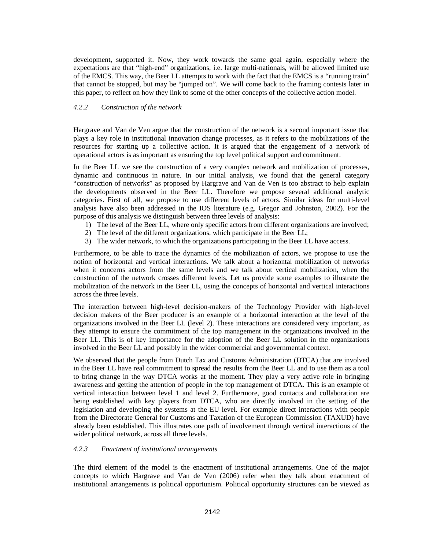development, supported it. Now, they work towards the same goal again, especially where the expectations are that "high-end" organizations, i.e. large multi-nationals, will be allowed limited use of the EMCS. This way, the Beer LL attempts to work with the fact that the EMCS is a "running train" that cannot be stopped, but may be "jumped on". We will come back to the framing contests later in this paper, to reflect on how they link to some of the other concepts of the collective action model.

#### *4.2.2 Construction of the network*

Hargrave and Van de Ven argue that the construction of the network is a second important issue that plays a key role in institutional innovation change processes, as it refers to the mobilizations of the resources for starting up a collective action. It is argued that the engagement of a network of operational actors is as important as ensuring the top level political support and commitment.

In the Beer LL we see the construction of a very complex network and mobilization of processes, dynamic and continuous in nature. In our initial analysis, we found that the general category "construction of networks" as proposed by Hargrave and Van de Ven is too abstract to help explain the developments observed in the Beer LL. Therefore we propose several additional analytic categories. First of all, we propose to use different levels of actors. Similar ideas for multi-level analysis have also been addressed in the IOS literature (e.g. Gregor and Johnston, 2002). For the purpose of this analysis we distinguish between three levels of analysis:

- 1) The level of the Beer LL, where only specific actors from different organizations are involved;
- 2) The level of the different organizations, which participate in the Beer LL;
- 3) The wider network, to which the organizations participating in the Beer LL have access.

Furthermore, to be able to trace the dynamics of the mobilization of actors, we propose to use the notion of horizontal and vertical interactions. We talk about a horizontal mobilization of networks when it concerns actors from the same levels and we talk about vertical mobilization, when the construction of the network crosses different levels. Let us provide some examples to illustrate the mobilization of the network in the Beer LL, using the concepts of horizontal and vertical interactions across the three levels.

The interaction between high-level decision-makers of the Technology Provider with high-level decision makers of the Beer producer is an example of a horizontal interaction at the level of the organizations involved in the Beer LL (level 2). These interactions are considered very important, as they attempt to ensure the commitment of the top management in the organizations involved in the Beer LL. This is of key importance for the adoption of the Beer LL solution in the organizations involved in the Beer LL and possibly in the wider commercial and governmental context.

We observed that the people from Dutch Tax and Customs Administration (DTCA) that are involved in the Beer LL have real commitment to spread the results from the Beer LL and to use them as a tool to bring change in the way DTCA works at the moment. They play a very active role in bringing awareness and getting the attention of people in the top management of DTCA. This is an example of vertical interaction between level 1 and level 2. Furthermore, good contacts and collaboration are being established with key players from DTCA, who are directly involved in the setting of the legislation and developing the systems at the EU level. For example direct interactions with people from the Directorate General for Customs and Taxation of the European Commission (TAXUD) have already been established. This illustrates one path of involvement through vertical interactions of the wider political network, across all three levels.

#### *4.2.3 Enactment of institutional arrangements*

The third element of the model is the enactment of institutional arrangements. One of the major concepts to which Hargrave and Van de Ven (2006) refer when they talk about enactment of institutional arrangements is political opportunism. Political opportunity structures can be viewed as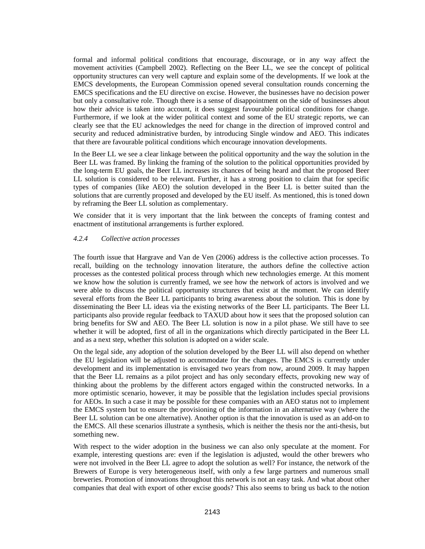formal and informal political conditions that encourage, discourage, or in any way affect the movement activities (Campbell 2002). Reflecting on the Beer LL, we see the concept of political opportunity structures can very well capture and explain some of the developments. If we look at the EMCS developments, the European Commission opened several consultation rounds concerning the EMCS specifications and the EU directive on excise. However, the businesses have no decision power but only a consultative role. Though there is a sense of disappointment on the side of businesses about how their advice is taken into account, it does suggest favourable political conditions for change. Furthermore, if we look at the wider political context and some of the EU strategic reports, we can clearly see that the EU acknowledges the need for change in the direction of improved control and security and reduced administrative burden, by introducing Single window and AEO. This indicates that there are favourable political conditions which encourage innovation developments.

In the Beer LL we see a clear linkage between the political opportunity and the way the solution in the Beer LL was framed. By linking the framing of the solution to the political opportunities provided by the long-term EU goals, the Beer LL increases its chances of being heard and that the proposed Beer LL solution is considered to be relevant. Further, it has a strong position to claim that for specific types of companies (like AEO) the solution developed in the Beer LL is better suited than the solutions that are currently proposed and developed by the EU itself. As mentioned, this is toned down by reframing the Beer LL solution as complementary.

We consider that it is very important that the link between the concepts of framing contest and enactment of institutional arrangements is further explored.

#### *4.2.4 Collective action processes*

The fourth issue that Hargrave and Van de Ven (2006) address is the collective action processes. To recall, building on the technology innovation literature, the authors define the collective action processes as the contested political process through which new technologies emerge. At this moment we know how the solution is currently framed, we see how the network of actors is involved and we were able to discuss the political opportunity structures that exist at the moment. We can identify several efforts from the Beer LL participants to bring awareness about the solution. This is done by disseminating the Beer LL ideas via the existing networks of the Beer LL participants. The Beer LL participants also provide regular feedback to TAXUD about how it sees that the proposed solution can bring benefits for SW and AEO. The Beer LL solution is now in a pilot phase. We still have to see whether it will be adopted, first of all in the organizations which directly participated in the Beer LL and as a next step, whether this solution is adopted on a wider scale.

On the legal side, any adoption of the solution developed by the Beer LL will also depend on whether the EU legislation will be adjusted to accommodate for the changes. The EMCS is currently under development and its implementation is envisaged two years from now, around 2009. It may happen that the Beer LL remains as a pilot project and has only secondary effects, provoking new way of thinking about the problems by the different actors engaged within the constructed networks. In a more optimistic scenario, however, it may be possible that the legislation includes special provisions for AEOs. In such a case it may be possible for these companies with an AEO status not to implement the EMCS system but to ensure the provisioning of the information in an alternative way (where the Beer LL solution can be one alternative). Another option is that the innovation is used as an add-on to the EMCS. All these scenarios illustrate a synthesis, which is neither the thesis nor the anti-thesis, but something new.

With respect to the wider adoption in the business we can also only speculate at the moment. For example, interesting questions are: even if the legislation is adjusted, would the other brewers who were not involved in the Beer LL agree to adopt the solution as well? For instance, the network of the Brewers of Europe is very heterogeneous itself, with only a few large partners and numerous small breweries. Promotion of innovations throughout this network is not an easy task. And what about other companies that deal with export of other excise goods? This also seems to bring us back to the notion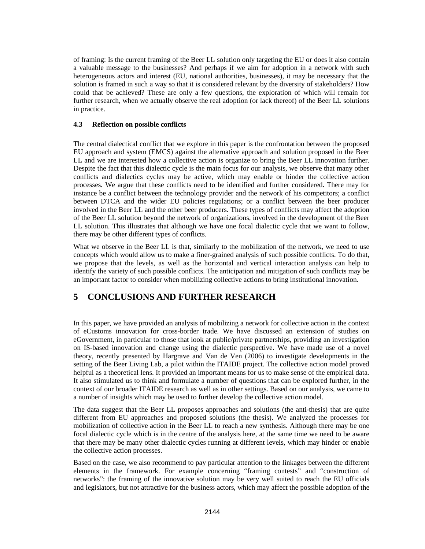of framing: Is the current framing of the Beer LL solution only targeting the EU or does it also contain a valuable message to the businesses? And perhaps if we aim for adoption in a network with such heterogeneous actors and interest (EU, national authorities, businesses), it may be necessary that the solution is framed in such a way so that it is considered relevant by the diversity of stakeholders? How could that be achieved? These are only a few questions, the exploration of which will remain for further research, when we actually observe the real adoption (or lack thereof) of the Beer LL solutions in practice.

#### **4.3 Reflection on possible conflicts**

The central dialectical conflict that we explore in this paper is the confrontation between the proposed EU approach and system (EMCS) against the alternative approach and solution proposed in the Beer LL and we are interested how a collective action is organize to bring the Beer LL innovation further. Despite the fact that this dialectic cycle is the main focus for our analysis, we observe that many other conflicts and dialectics cycles may be active, which may enable or hinder the collective action processes. We argue that these conflicts need to be identified and further considered. There may for instance be a conflict between the technology provider and the network of his competitors; a conflict between DTCA and the wider EU policies regulations; or a conflict between the beer producer involved in the Beer LL and the other beer producers. These types of conflicts may affect the adoption of the Beer LL solution beyond the network of organizations, involved in the development of the Beer LL solution. This illustrates that although we have one focal dialectic cycle that we want to follow, there may be other different types of conflicts.

What we observe in the Beer LL is that, similarly to the mobilization of the network, we need to use concepts which would allow us to make a finer-grained analysis of such possible conflicts. To do that, we propose that the levels, as well as the horizontal and vertical interaction analysis can help to identify the variety of such possible conflicts. The anticipation and mitigation of such conflicts may be an important factor to consider when mobilizing collective actions to bring institutional innovation.

## **5 CONCLUSIONS AND FURTHER RESEARCH**

In this paper, we have provided an analysis of mobilizing a network for collective action in the context of eCustoms innovation for cross-border trade. We have discussed an extension of studies on eGovernment, in particular to those that look at public/private partnerships, providing an investigation on IS-based innovation and change using the dialectic perspective. We have made use of a novel theory, recently presented by Hargrave and Van de Ven (2006) to investigate developments in the setting of the Beer Living Lab, a pilot within the ITAIDE project. The collective action model proved helpful as a theoretical lens. It provided an important means for us to make sense of the empirical data. It also stimulated us to think and formulate a number of questions that can be explored further, in the context of our broader ITAIDE research as well as in other settings. Based on our analysis, we came to a number of insights which may be used to further develop the collective action model.

The data suggest that the Beer LL proposes approaches and solutions (the anti-thesis) that are quite different from EU approaches and proposed solutions (the thesis). We analyzed the processes for mobilization of collective action in the Beer LL to reach a new synthesis. Although there may be one focal dialectic cycle which is in the centre of the analysis here, at the same time we need to be aware that there may be many other dialectic cycles running at different levels, which may hinder or enable the collective action processes.

Based on the case, we also recommend to pay particular attention to the linkages between the different elements in the framework. For example concerning "framing contests" and "construction of networks": the framing of the innovative solution may be very well suited to reach the EU officials and legislators, but not attractive for the business actors, which may affect the possible adoption of the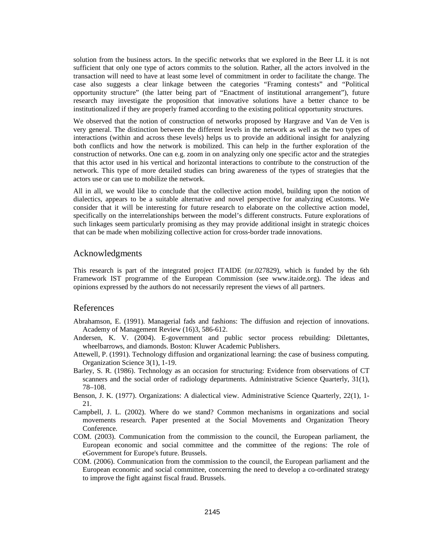solution from the business actors. In the specific networks that we explored in the Beer LL it is not sufficient that only one type of actors commits to the solution. Rather, all the actors involved in the transaction will need to have at least some level of commitment in order to facilitate the change. The case also suggests a clear linkage between the categories "Framing contests" and "Political opportunity structure" (the latter being part of "Enactment of institutional arrangement"), future research may investigate the proposition that innovative solutions have a better chance to be institutionalized if they are properly framed according to the existing political opportunity structures.

We observed that the notion of construction of networks proposed by Hargrave and Van de Ven is very general. The distinction between the different levels in the network as well as the two types of interactions (within and across these levels) helps us to provide an additional insight for analyzing both conflicts and how the network is mobilized. This can help in the further exploration of the construction of networks. One can e.g. zoom in on analyzing only one specific actor and the strategies that this actor used in his vertical and horizontal interactions to contribute to the construction of the network. This type of more detailed studies can bring awareness of the types of strategies that the actors use or can use to mobilize the network.

All in all, we would like to conclude that the collective action model, building upon the notion of dialectics, appears to be a suitable alternative and novel perspective for analyzing eCustoms. We consider that it will be interesting for future research to elaborate on the collective action model, specifically on the interrelationships between the model's different constructs. Future explorations of such linkages seem particularly promising as they may provide additional insight in strategic choices that can be made when mobilizing collective action for cross-border trade innovations.

#### Acknowledgments

This research is part of the integrated project ITAIDE (nr.027829), which is funded by the 6th Framework IST programme of the European Commission (see www.itaide.org). The ideas and opinions expressed by the authors do not necessarily represent the views of all partners.

#### References

- Abrahamson, E. (1991). Managerial fads and fashions: The diffusion and rejection of innovations. Academy of Management Review (16)3, 586-612.
- Andersen, K. V. (2004). E-government and public sector process rebuilding: Dilettantes, wheelbarrows, and diamonds. Boston: Kluwer Academic Publishers.
- Attewell, P. (1991). Technology diffusion and organizational learning: the case of business computing. Organization Science 3(1), 1-19.
- Barley, S. R. (1986). Technology as an occasion for structuring: Evidence from observations of CT scanners and the social order of radiology departments. Administrative Science Quarterly, 31(1), 78–108.
- Benson, J. K. (1977). Organizations: A dialectical view. Administrative Science Quarterly, 22(1), 1- 21.
- Campbell, J. L. (2002). Where do we stand? Common mechanisms in organizations and social movements research. Paper presented at the Social Movements and Organization Theory Conference.
- COM. (2003). Communication from the commission to the council, the European parliament, the European economic and social committee and the committee of the regions: The role of eGovernment for Europe's future. Brussels.
- COM. (2006). Communication from the commission to the council, the European parliament and the European economic and social committee, concerning the need to develop a co-ordinated strategy to improve the fight against fiscal fraud. Brussels.